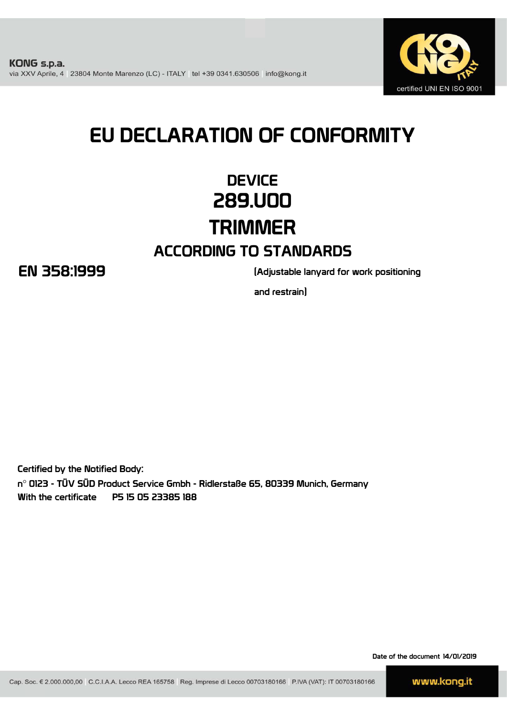

# EU DECLARATION OF CONFORMITY

# **DEVICE** 289.U00 **TRIMMER** ACCORDING TO STANDARDS

EN 358:1999

(Adjustable lanyard for work positioning

and restrain)

Certified by the Notified Body: n° 0123 - TÜV SÜD Product Service Gmbh - Ridlerstaße 65, 80339 Munich, Germany With the certificate P5 15 05 23385 188

Date of the document 14/01/2019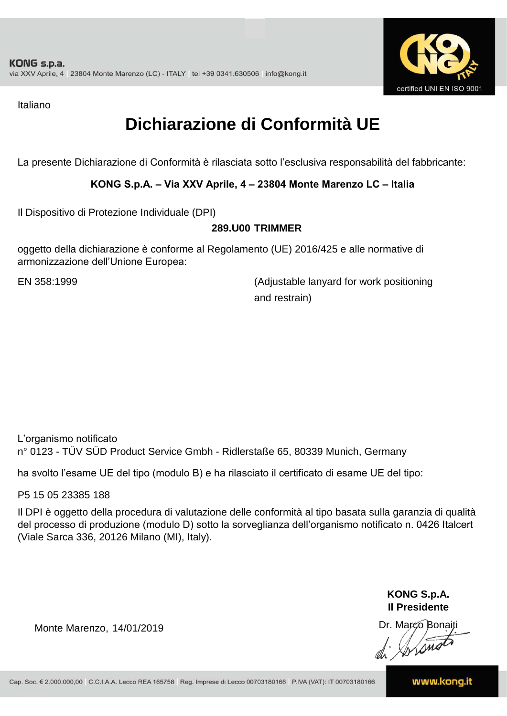

Italiano

# **Dichiarazione di Conformità UE**

La presente Dichiarazione di Conformità è rilasciata sotto l'esclusiva responsabilità del fabbricante:

#### **KONG S.p.A. – Via XXV Aprile, 4 – 23804 Monte Marenzo LC – Italia**

Il Dispositivo di Protezione Individuale (DPI)

#### **289.U00 TRIMMER**

oggetto della dichiarazione è conforme al Regolamento (UE) 2016/425 e alle normative di armonizzazione dell'Unione Europea:

EN 358:1999

(Adjustable lanyard for work positioning and restrain)

L'organismo notificato n° 0123 - TÜV SÜD Product Service Gmbh - Ridlerstaße 65, 80339 Munich, Germany

ha svolto l'esame UE del tipo (modulo B) e ha rilasciato il certificato di esame UE del tipo:

P5 15 05 23385 188

Il DPI è oggetto della procedura di valutazione delle conformità al tipo basata sulla garanzia di qualità del processo di produzione (modulo D) sotto la sorveglianza dell'organismo notificato n. 0426 Italcert (Viale Sarca 336, 20126 Milano (MI), Italy).

> **KONG S.p.A. Il Presidente**

Monte Marenzo, 14/01/2019<br>
Monte Marenzo, 14/01/2019<br>
A Marco Bonaiti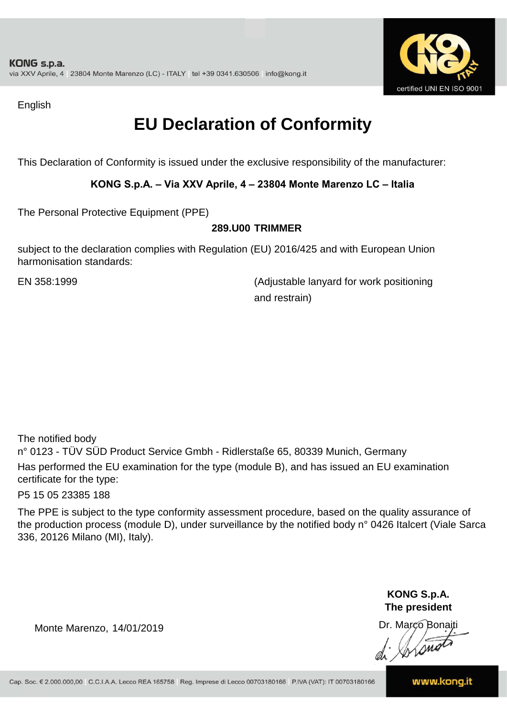

English

# **EU Declaration of Conformity**

This Declaration of Conformity is issued under the exclusive responsibility of the manufacturer:

#### **KONG S.p.A. – Via XXV Aprile, 4 – 23804 Monte Marenzo LC – Italia**

The Personal Protective Equipment (PPE)

#### **289.U00 TRIMMER**

subject to the declaration complies with Regulation (EU) 2016/425 and with European Union harmonisation standards:

and restrain) EN 358:1999 (Adjustable lanyard for work positioning

The notified body

n° 0123 - TÜV SÜD Product Service Gmbh - Ridlerstaße 65, 80339 Munich, Germany Has performed the EU examination for the type (module B), and has issued an EU examination certificate for the type:

P5 15 05 23385 188

The PPE is subject to the type conformity assessment procedure, based on the quality assurance of the production process (module D), under surveillance by the notified body n° 0426 Italcert (Viale Sarca 336, 20126 Milano (MI), Italy).

> **KONG S.p.A. The president**

Dr. Marco Bonaiti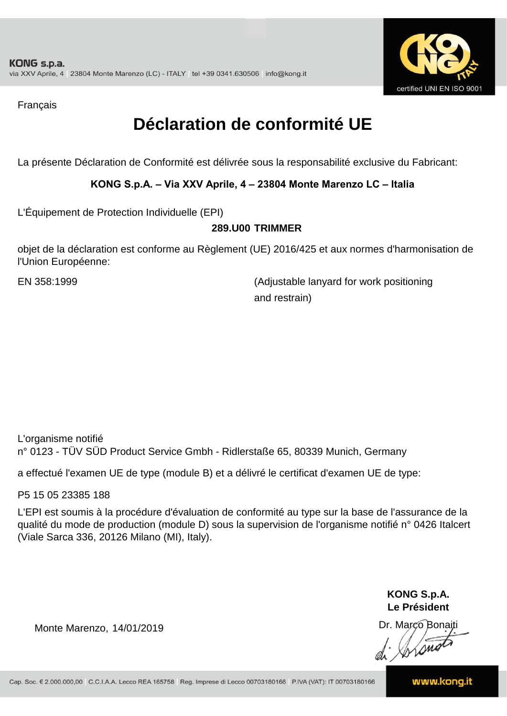

Français

# **Déclaration de conformité UE**

La présente Déclaration de Conformité est délivrée sous la responsabilité exclusive du Fabricant:

#### **KONG S.p.A. – Via XXV Aprile, 4 – 23804 Monte Marenzo LC – Italia**

L'Équipement de Protection Individuelle (EPI)

#### **289.U00 TRIMMER**

objet de la déclaration est conforme au Règlement (UE) 2016/425 et aux normes d'harmonisation de l'Union Européenne:

and restrain) EN 358:1999 (Adjustable lanyard for work positioning

L'organisme notifié n° 0123 - TÜV SÜD Product Service Gmbh - Ridlerstaße 65, 80339 Munich, Germany

a effectué l'examen UE de type (module B) et a délivré le certificat d'examen UE de type:

P5 15 05 23385 188

L'EPI est soumis à la procédure d'évaluation de conformité au type sur la base de l'assurance de la qualité du mode de production (module D) sous la supervision de l'organisme notifié n° 0426 Italcert (Viale Sarca 336, 20126 Milano (MI), Italy).

> **KONG S.p.A. Le Président**

Dr. Marco Bonaiti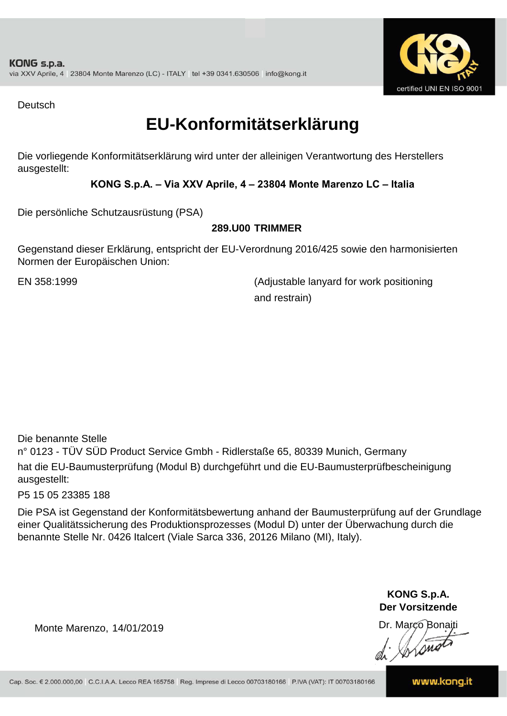

Deutsch

### **EU-Konformitätserklärung**

Die vorliegende Konformitätserklärung wird unter der alleinigen Verantwortung des Herstellers ausgestellt:

#### **KONG S.p.A. – Via XXV Aprile, 4 – 23804 Monte Marenzo LC – Italia**

Die persönliche Schutzausrüstung (PSA)

#### **289.U00 TRIMMER**

Gegenstand dieser Erklärung, entspricht der EU-Verordnung 2016/425 sowie den harmonisierten Normen der Europäischen Union:

and restrain) EN 358:1999 (Adjustable lanyard for work positioning

Die benannte Stelle

n° 0123 - TÜV SÜD Product Service Gmbh - Ridlerstaße 65, 80339 Munich, Germany hat die EU-Baumusterprüfung (Modul B) durchgeführt und die EU-Baumusterprüfbescheinigung ausgestellt:

P5 15 05 23385 188

Die PSA ist Gegenstand der Konformitätsbewertung anhand der Baumusterprüfung auf der Grundlage einer Qualitätssicherung des Produktionsprozesses (Modul D) unter der Überwachung durch die benannte Stelle Nr. 0426 Italcert (Viale Sarca 336, 20126 Milano (MI), Italy).

> **KONG S.p.A. Der Vorsitzende**

Dr. Marco Bonaiti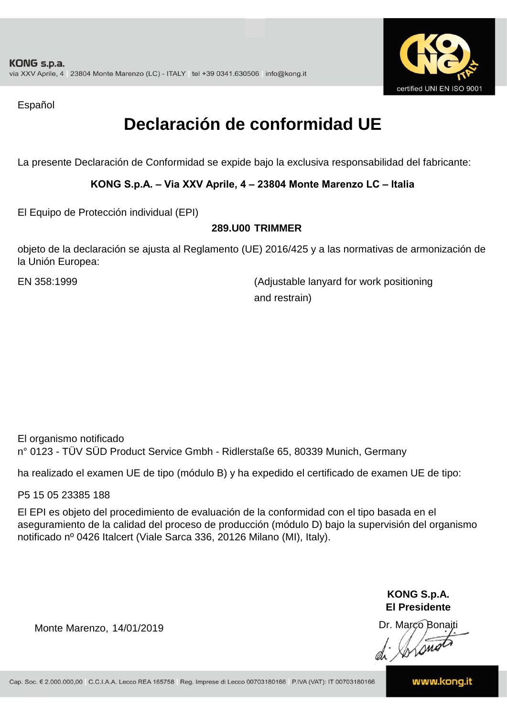

Español

# **Declaración de conformidad UE**

La presente Declaración de Conformidad se expide bajo la exclusiva responsabilidad del fabricante:

#### **KONG S.p.A. – Via XXV Aprile, 4 – 23804 Monte Marenzo LC – Italia**

El Equipo de Protección individual (EPI)

#### **289.U00 TRIMMER**

objeto de la declaración se ajusta al Reglamento (UE) 2016/425 y a las normativas de armonización de la Unión Europea:

EN 358:1999

(Adjustable lanyard for work positioning and restrain)

El organismo notificado n° 0123 - TÜV SÜD Product Service Gmbh - Ridlerstaße 65, 80339 Munich, Germany

ha realizado el examen UE de tipo (módulo B) y ha expedido el certificado de examen UE de tipo:

P5 15 05 23385 188

El EPI es objeto del procedimiento de evaluación de la conformidad con el tipo basada en el aseguramiento de la calidad del proceso de producción (módulo D) bajo la supervisión del organismo notificado nº 0426 Italcert (Viale Sarca 336, 20126 Milano (MI), Italy).

> **KONG S.p.A. El Presidente**

Dr. Marco Bonaiti di Aromor

Monte Marenzo, 14/01/2019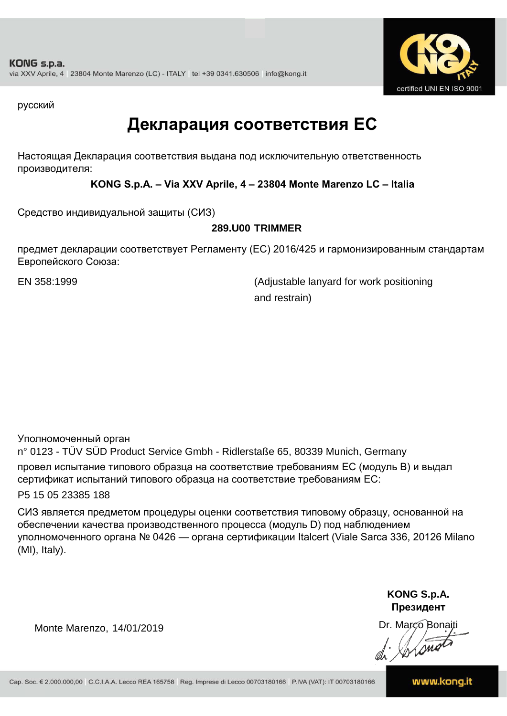

русский

### **Декларация соответствия ЕС**

Настоящая Декларация соответствия выдана под исключительную ответственность производителя:

#### **KONG S.p.A. – Via XXV Aprile, 4 – 23804 Monte Marenzo LC – Italia**

Средство индивидуальной защиты (СИЗ)

#### **289.U00 TRIMMER**

предмет декларации соответствует Регламенту (ЕС) 2016/425 и гармонизированным стандартам Европейского Союза:

EN 358:1999 (Adjustable lanyard for work positioning and restrain)

Уполномоченный орган

n° 0123 - TÜV SÜD Product Service Gmbh - Ridlerstaße 65, 80339 Munich, Germany провел испытание типового образца на соответствие требованиям ЕС (модуль B) и выдал сертификат испытаний типового образца на соответствие требованиям ЕС:

P5 15 05 23385 188

СИЗ является предметом процедуры оценки соответствия типовому образцу, основанной на обеспечении качества производственного процесса (модуль D) под наблюдением уполномоченного органа № 0426 — органа сертификации Italcert (Viale Sarca 336, 20126 Milano (MI), Italy).

> **KONG S.p.A. Президент**

Dr. Marco Bonaiti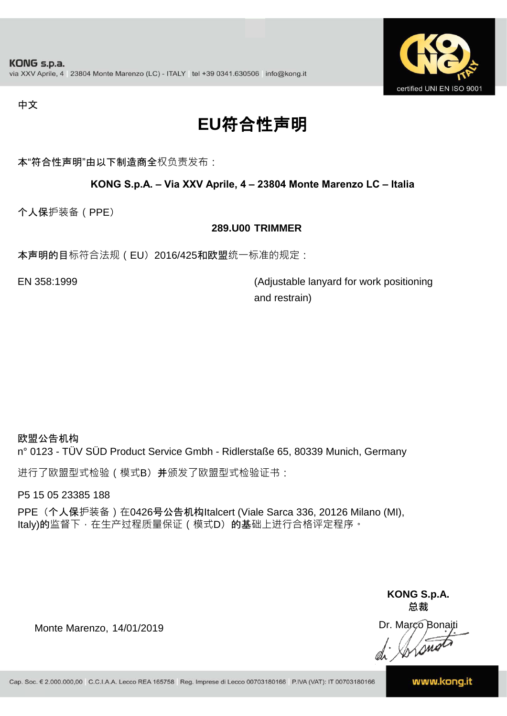

#### 中文

# **EU**符合性声明

本"符合性声明"由以下制造商全权负责发布:

#### **KONG S.p.A. – Via XXV Aprile, 4 – 23804 Monte Marenzo LC – Italia**

个人保护装备(PPE)

#### **289.U00 TRIMMER**

本声明的目标符合法规(EU) 2016/425和欧盟统一标准的规定:

and restrain) EN 358:1999 (Adjustable lanyard for work positioning

欧盟公告机构

n° 0123 - TÜV SÜD Product Service Gmbh - Ridlerstaße 65, 80339 Munich, Germany

进行了欧盟型式检验(模式B) 并颁发了欧盟型式检验证书:

P5 15 05 23385 188

PPE (个人保护装备) 在0426号公告机构Italcert (Viale Sarca 336, 20126 Milano (MI), Italy)的监督下, 在生产过程质量保证 ( 模式D) 的基础上进行合格评定程序。

> **KONG S.p.A. 总裁**

Dr. Marco Bonaiti di Simon

Monte Marenzo, 14/01/2019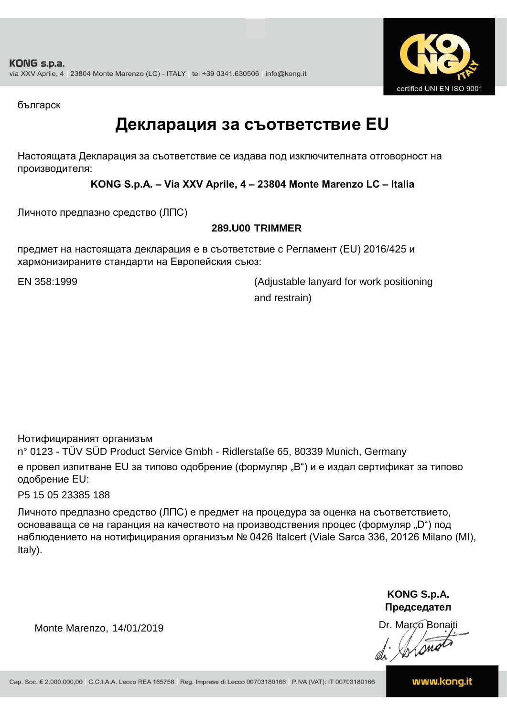

българск

### **Декларация за съответствие EU**

Настоящата Декларация за съответствие се издава под изключителната отговорност на производителя:

**KONG S.p.A. – Via XXV Aprile, 4 – 23804 Monte Marenzo LC – Italia**

Личното предпазно средство (ЛПС)

#### **289.U00 TRIMMER**

предмет на настоящата декларация е в съответствие с Регламент (ЕU) 2016/425 и хармонизираните стандарти на Европейския съюз:

EN 358:1999 (Adjustable lanyard for work positioning and restrain)

Нотифицираният организъм

n° 0123 - TÜV SÜD Product Service Gmbh - Ridlerstaße 65, 80339 Munich, Germany е провел изпитване EU за типово одобрение (формуляр "B") и е издал сертификат за типово одобрение ЕU:

P5 15 05 23385 188

Личното предпазно средство (ЛПС) е предмет на процедура за оценка на съответствието, основаваща се на гаранция на качеството на производствения процес (формуляр "D") под наблюдението на нотифицирания организъм № 0426 Italcert (Viale Sarca 336, 20126 Milano (MI), Italy).

> **KONG S.p.A. Председател**

Dr. Marco Bonaiti

Monte Marenzo, 14/01/2019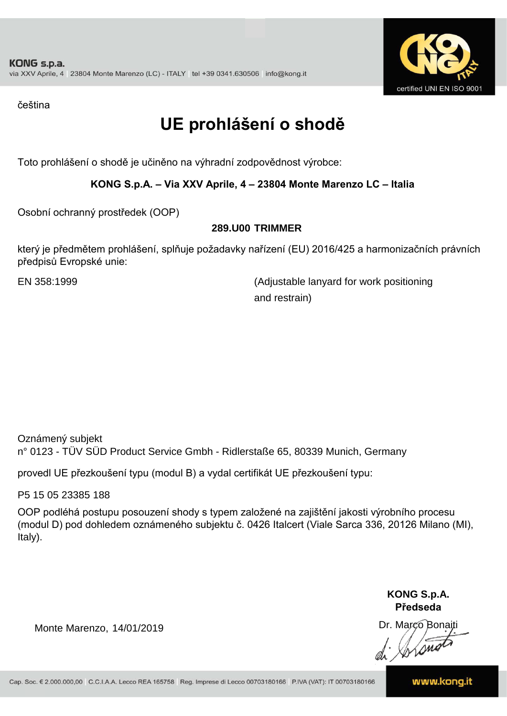

čeština

# **UE prohlášení o shodě**

Toto prohlášení o shodě je učiněno na výhradní zodpovědnost výrobce:

#### **KONG S.p.A. – Via XXV Aprile, 4 – 23804 Monte Marenzo LC – Italia**

Osobní ochranný prostředek (OOP)

#### **289.U00 TRIMMER**

který je předmětem prohlášení, splňuje požadavky nařízení (EU) 2016/425 a harmonizačních právních předpisů Evropské unie:

and restrain) EN 358:1999 (Adjustable lanyard for work positioning

Oznámený subjekt n° 0123 - TÜV SÜD Product Service Gmbh - Ridlerstaße 65, 80339 Munich, Germany

provedl UE přezkoušení typu (modul B) a vydal certifikát UE přezkoušení typu:

P5 15 05 23385 188

OOP podléhá postupu posouzení shody s typem založené na zajištění jakosti výrobního procesu (modul D) pod dohledem oznámeného subjektu č. 0426 Italcert (Viale Sarca 336, 20126 Milano (MI), Italy).

> **KONG S.p.A. Předseda**

Dr. Marco Bonaiti

Monte Marenzo, 14/01/2019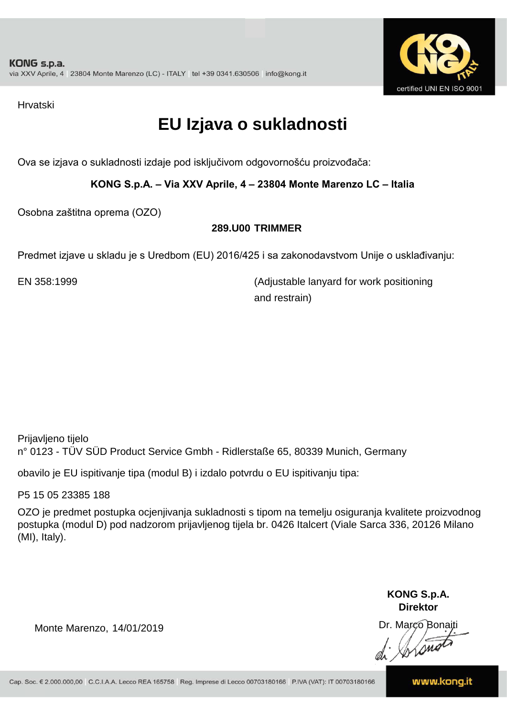

Hrvatski

# **EU Izjava o sukladnosti**

Ova se izjava o sukladnosti izdaje pod isključivom odgovornošću proizvođača:

**KONG S.p.A. – Via XXV Aprile, 4 – 23804 Monte Marenzo LC – Italia**

Osobna zaštitna oprema (OZO)

#### **289.U00 TRIMMER**

Predmet izjave u skladu je s Uredbom (EU) 2016/425 i sa zakonodavstvom Unije o usklađivanju:

EN 358:1999 (Adjustable lanyard for work positioning and restrain)

Prijavljeno tijelo n° 0123 - TÜV SÜD Product Service Gmbh - Ridlerstaße 65, 80339 Munich, Germany

obavilo je EU ispitivanje tipa (modul B) i izdalo potvrdu o EU ispitivanju tipa:

P5 15 05 23385 188

OZO je predmet postupka ocjenjivanja sukladnosti s tipom na temelju osiguranja kvalitete proizvodnog postupka (modul D) pod nadzorom prijavljenog tijela br. 0426 Italcert (Viale Sarca 336, 20126 Milano (MI), Italy).

> **KONG S.p.A. Direktor**

Dr. Marco Bonaiti

Monte Marenzo, 14/01/2019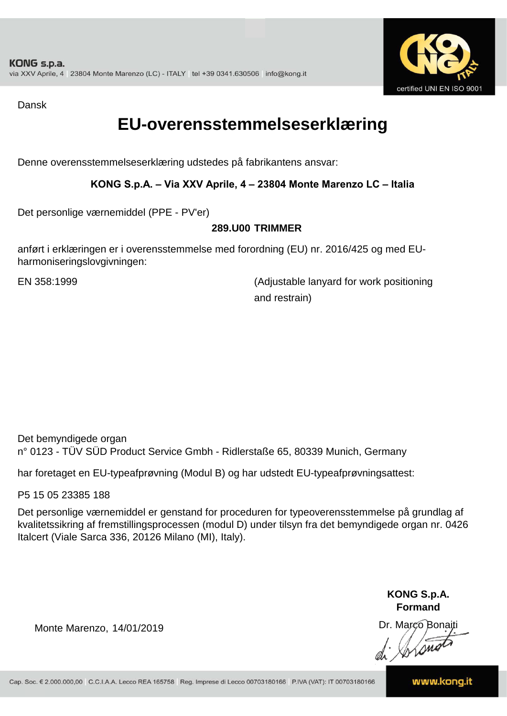

Dansk

### **EU-overensstemmelseserklæring**

Denne overensstemmelseserklæring udstedes på fabrikantens ansvar:

#### **KONG S.p.A. – Via XXV Aprile, 4 – 23804 Monte Marenzo LC – Italia**

Det personlige værnemiddel (PPE - PV'er)

#### **289.U00 TRIMMER**

anført i erklæringen er i overensstemmelse med forordning (EU) nr. 2016/425 og med EUharmoniseringslovgivningen:

and restrain) EN 358:1999 (Adjustable lanyard for work positioning

Det bemyndigede organ n° 0123 - TÜV SÜD Product Service Gmbh - Ridlerstaße 65, 80339 Munich, Germany

har foretaget en EU-typeafprøvning (Modul B) og har udstedt EU-typeafprøvningsattest:

P5 15 05 23385 188

Det personlige værnemiddel er genstand for proceduren for typeoverensstemmelse på grundlag af kvalitetssikring af fremstillingsprocessen (modul D) under tilsyn fra det bemyndigede organ nr. 0426 Italcert (Viale Sarca 336, 20126 Milano (MI), Italy).

> **KONG S.p.A. Formand**

Dr. Marco Bonaiti di Arsnot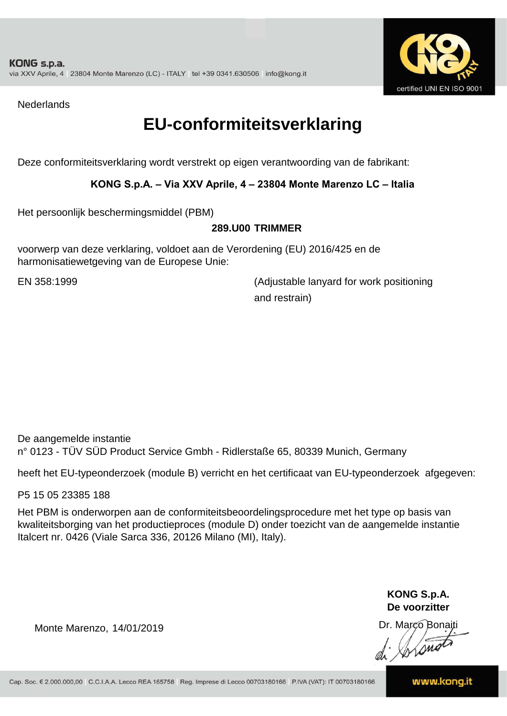

**Nederlands** 

### **EU-conformiteitsverklaring**

Deze conformiteitsverklaring wordt verstrekt op eigen verantwoording van de fabrikant:

#### **KONG S.p.A. – Via XXV Aprile, 4 – 23804 Monte Marenzo LC – Italia**

Het persoonlijk beschermingsmiddel (PBM)

#### **289.U00 TRIMMER**

voorwerp van deze verklaring, voldoet aan de Verordening (EU) 2016/425 en de harmonisatiewetgeving van de Europese Unie:

EN 358:1999 (Adjustable lanyard for work positioning and restrain)

De aangemelde instantie n° 0123 - TÜV SÜD Product Service Gmbh - Ridlerstaße 65, 80339 Munich, Germany

heeft het EU-typeonderzoek (module B) verricht en het certificaat van EU-typeonderzoek afgegeven:

P5 15 05 23385 188

Het PBM is onderworpen aan de conformiteitsbeoordelingsprocedure met het type op basis van kwaliteitsborging van het productieproces (module D) onder toezicht van de aangemelde instantie Italcert nr. 0426 (Viale Sarca 336, 20126 Milano (MI), Italy).

> **KONG S.p.A. De voorzitter**

Dr. Marco Bonaiti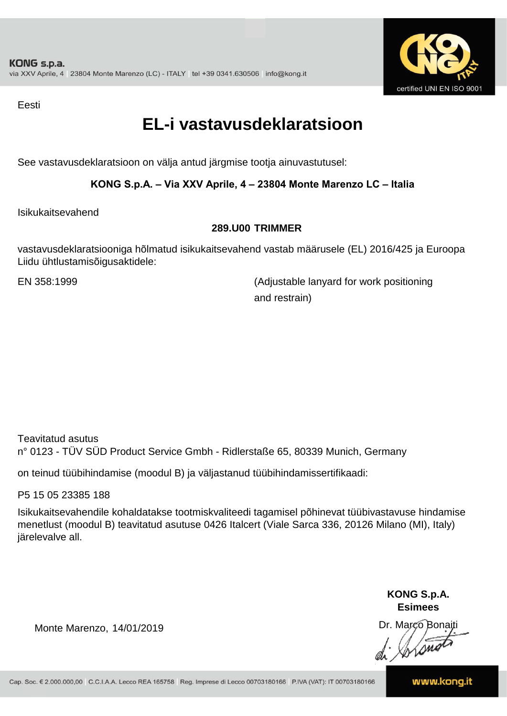

Eesti

## **EL-i vastavusdeklaratsioon**

See vastavusdeklaratsioon on välja antud järgmise tootja ainuvastutusel:

#### **KONG S.p.A. – Via XXV Aprile, 4 – 23804 Monte Marenzo LC – Italia**

Isikukaitsevahend

#### **289.U00 TRIMMER**

vastavusdeklaratsiooniga hõlmatud isikukaitsevahend vastab määrusele (EL) 2016/425 ja Euroopa Liidu ühtlustamisõigusaktidele:

and restrain) EN 358:1999 (Adjustable lanyard for work positioning

Teavitatud asutus n° 0123 - TÜV SÜD Product Service Gmbh - Ridlerstaße 65, 80339 Munich, Germany

on teinud tüübihindamise (moodul B) ja väljastanud tüübihindamissertifikaadi:

P5 15 05 23385 188

Isikukaitsevahendile kohaldatakse tootmiskvaliteedi tagamisel põhinevat tüübivastavuse hindamise menetlust (moodul B) teavitatud asutuse 0426 Italcert (Viale Sarca 336, 20126 Milano (MI), Italy) järelevalve all.

> **KONG S.p.A. Esimees**

Dr. Marco Bonaiti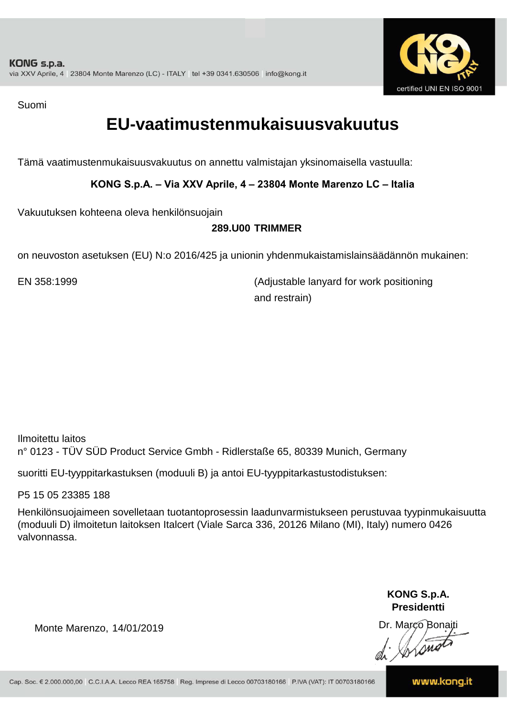

Suomi

### **EU-vaatimustenmukaisuusvakuutus**

Tämä vaatimustenmukaisuusvakuutus on annettu valmistajan yksinomaisella vastuulla:

**KONG S.p.A. – Via XXV Aprile, 4 – 23804 Monte Marenzo LC – Italia**

Vakuutuksen kohteena oleva henkilönsuojain

#### **289.U00 TRIMMER**

on neuvoston asetuksen (EU) N:o 2016/425 ja unionin yhdenmukaistamislainsäädännön mukainen:

EN 358:1999 (Adjustable lanyard for work positioning and restrain)

Ilmoitettu laitos n° 0123 - TÜV SÜD Product Service Gmbh - Ridlerstaße 65, 80339 Munich, Germany

suoritti EU-tyyppitarkastuksen (moduuli B) ja antoi EU-tyyppitarkastustodistuksen:

P5 15 05 23385 188

Henkilönsuojaimeen sovelletaan tuotantoprosessin laadunvarmistukseen perustuvaa tyypinmukaisuutta (moduuli D) ilmoitetun laitoksen Italcert (Viale Sarca 336, 20126 Milano (MI), Italy) numero 0426 valvonnassa.

> **KONG S.p.A. Presidentti**

Dr. Marco Bonaiti di Simon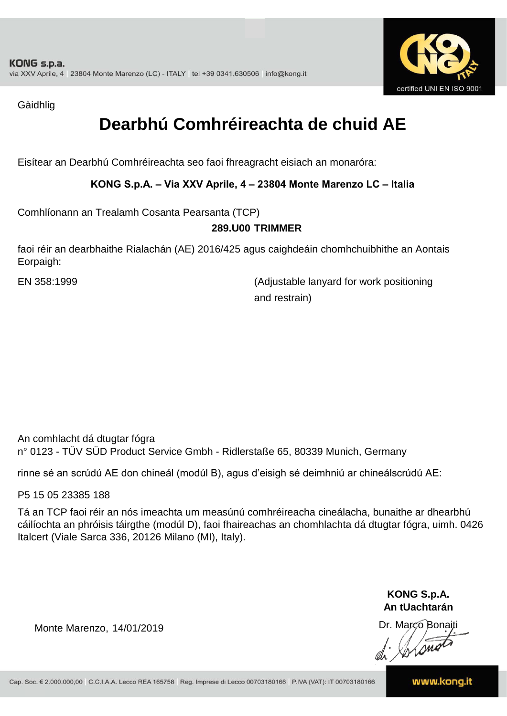

Gàidhlig

# **Dearbhú Comhréireachta de chuid AE**

Eisítear an Dearbhú Comhréireachta seo faoi fhreagracht eisiach an monaróra:

#### **KONG S.p.A. – Via XXV Aprile, 4 – 23804 Monte Marenzo LC – Italia**

Comhlíonann an Trealamh Cosanta Pearsanta (TCP)

#### **289.U00 TRIMMER**

faoi réir an dearbhaithe Rialachán (AE) 2016/425 agus caighdeáin chomhchuibhithe an Aontais Eorpaigh:

and restrain) EN 358:1999 (Adjustable lanyard for work positioning

An comhlacht dá dtugtar fógra n° 0123 - TÜV SÜD Product Service Gmbh - Ridlerstaße 65, 80339 Munich, Germany

rinne sé an scrúdú AE don chineál (modúl B), agus d'eisigh sé deimhniú ar chineálscrúdú AE:

P5 15 05 23385 188

Tá an TCP faoi réir an nós imeachta um measúnú comhréireacha cineálacha, bunaithe ar dhearbhú cáilíochta an phróisis táirgthe (modúl D), faoi fhaireachas an chomhlachta dá dtugtar fógra, uimh. 0426 Italcert (Viale Sarca 336, 20126 Milano (MI), Italy).

> **KONG S.p.A. An tUachtarán**

Dr. Marco Bonaiti di Aromor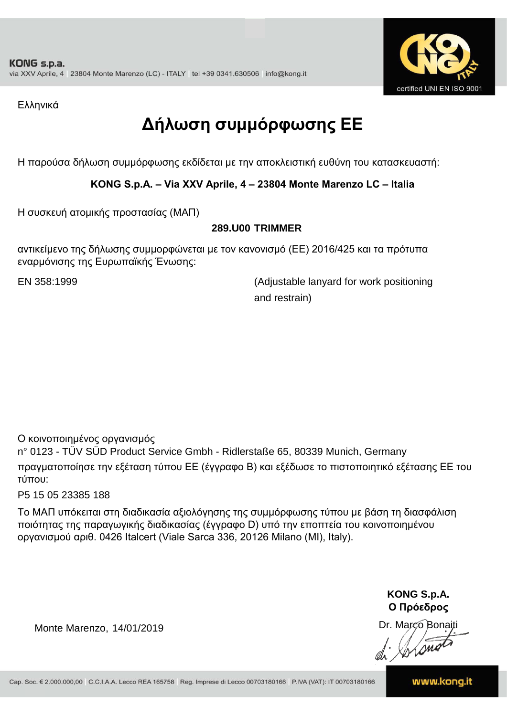

Ελληνικά

# **Δήλωση συμμόρφωσης ΕE**

Η παρούσα δήλωση συμμόρφωσης εκδίδεται με την αποκλειστική ευθύνη του κατασκευαστή:

#### **KONG S.p.A. – Via XXV Aprile, 4 – 23804 Monte Marenzo LC – Italia**

Η συσκευή ατομικής προστασίας (ΜΑΠ)

#### **289.U00 TRIMMER**

αντικείμενο της δήλωσης συμμορφώνεται με τον κανονισμό (ΕΕ) 2016/425 και τα πρότυπα εναρμόνισης της Ευρωπαϊκής Ένωσης:

EN 358:1999 (Adjustable lanyard for work positioning and restrain)

Ο κοινοποιημένος οργανισμός

n° 0123 - TÜV SÜD Product Service Gmbh - Ridlerstaße 65, 80339 Munich, Germany πραγματοποίησε την εξέταση τύπου ΕΕ (έγγραφο Β) και εξέδωσε το πιστοποιητικό εξέτασης ΕΕ του τύπου:

P5 15 05 23385 188

Το ΜΑΠ υπόκειται στη διαδικασία αξιολόγησης της συμμόρφωσης τύπου με βάση τη διασφάλιση ποιότητας της παραγωγικής διαδικασίας (έγγραφο D) υπό την εποπτεία του κοινοποιημένου οργανισμού αριθ. 0426 Italcert (Viale Sarca 336, 20126 Milano (MI), Italy).

> **KONG S.p.A. Ο Πρόεδρος**

Dr. Marco Bonaiti di Jorano

Monte Marenzo, 14/01/2019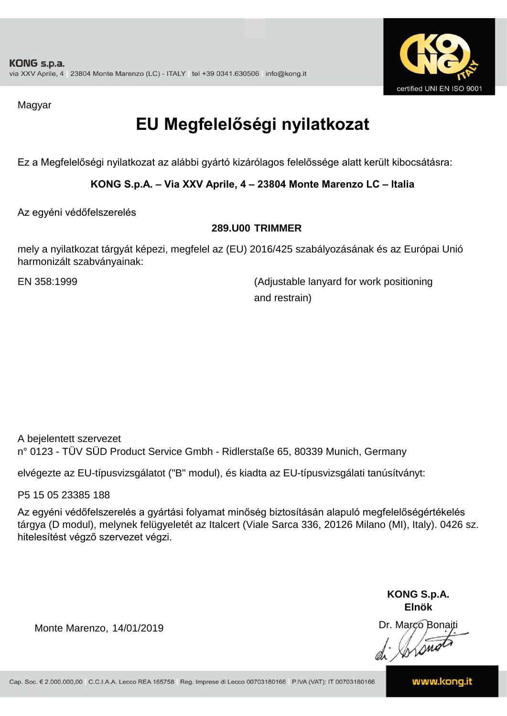

Magyar

# **EU Megfelelőségi nyilatkozat**

Ez a Megfelelőségi nyilatkozat az alábbi gyártó kizárólagos felelőssége alatt került kibocsátásra:

**KONG S.p.A. – Via XXV Aprile, 4 – 23804 Monte Marenzo LC – Italia**

Az egyéni védőfelszerelés

#### **289.U00 TRIMMER**

mely a nyilatkozat tárgyát képezi, megfelel az (EU) 2016/425 szabályozásának és az Európai Unió harmonizált szabványainak:

and restrain) EN 358:1999 (Adjustable lanyard for work positioning

A bejelentett szervezet n° 0123 - TÜV SÜD Product Service Gmbh - Ridlerstaße 65, 80339 Munich, Germany

elvégezte az EU-típusvizsgálatot ("B" modul), és kiadta az EU-típusvizsgálati tanúsítványt:

P5 15 05 23385 188

Az egyéni védőfelszerelés a gyártási folyamat minőség biztosításán alapuló megfelelőségértékelés tárgya (D modul), melynek felügyeletét az Italcert (Viale Sarca 336, 20126 Milano (MI), Italy). 0426 sz. hitelesítést végző szervezet végzi.

> **KONG S.p.A. Elnök**

Dr. Marco Bonaiti di Aromor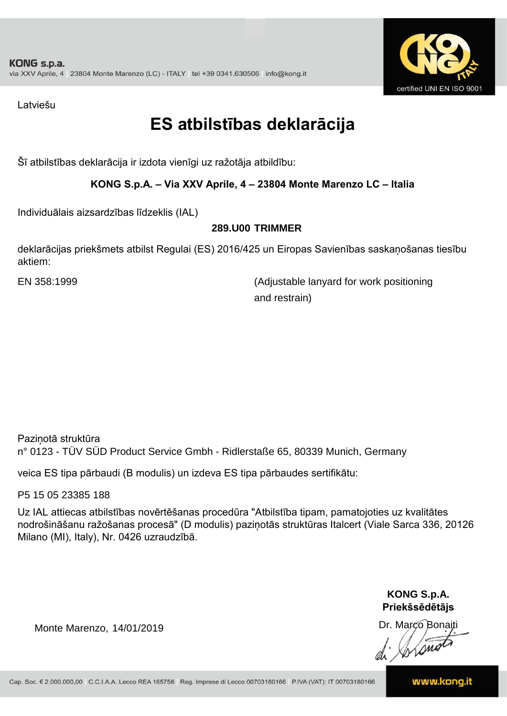

Latviešu

# **ES atbilstības deklarācija**

Šī atbilstības deklarācija ir izdota vienīgi uz ražotāja atbildību:

#### **KONG S.p.A. – Via XXV Aprile, 4 – 23804 Monte Marenzo LC – Italia**

Individuālais aizsardzības līdzeklis (IAL)

#### **289.U00 TRIMMER**

deklarācijas priekšmets atbilst Regulai (ES) 2016/425 un Eiropas Savienības saskaņošanas tiesību aktiem:

EN 358:1999 (Adjustable lanyard for work positioning and restrain)

Paziņotā struktūra n° 0123 - TÜV SÜD Product Service Gmbh - Ridlerstaße 65, 80339 Munich, Germany

veica ES tipa pārbaudi (B modulis) un izdeva ES tipa pārbaudes sertifikātu:

P5 15 05 23385 188

Uz IAL attiecas atbilstības novērtēšanas procedūra "Atbilstība tipam, pamatojoties uz kvalitātes nodrošināšanu ražošanas procesā" (D modulis) paziņotās struktūras Italcert (Viale Sarca 336, 20126 Milano (MI), Italy), Nr. 0426 uzraudzībā.

> **KONG S.p.A. Priekšsēdētājs**

Dr. Marco Bonaiti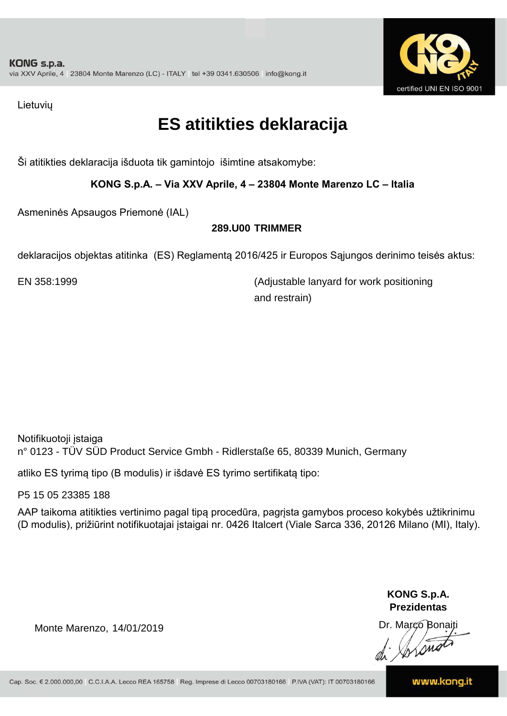

Lietuvių

# **ES atitikties deklaracija**

Ši atitikties deklaracija išduota tik gamintojo išimtine atsakomybe:

**KONG S.p.A. – Via XXV Aprile, 4 – 23804 Monte Marenzo LC – Italia**

Asmeninės Apsaugos Priemonė (IAL)

#### **289.U00 TRIMMER**

deklaracijos objektas atitinka (ES) Reglamentą 2016/425 ir Europos Sąjungos derinimo teisės aktus:

and restrain) EN 358:1999 (Adjustable lanyard for work positioning

Notifikuotoji įstaiga n° 0123 - TÜV SÜD Product Service Gmbh - Ridlerstaße 65, 80339 Munich, Germany

atliko ES tyrimą tipo (B modulis) ir išdavė ES tyrimo sertifikatą tipo:

P5 15 05 23385 188

AAP taikoma atitikties vertinimo pagal tipą procedūra, pagrįsta gamybos proceso kokybės užtikrinimu (D modulis), prižiūrint notifikuotajai įstaigai nr. 0426 Italcert (Viale Sarca 336, 20126 Milano (MI), Italy).

> **KONG S.p.A. Prezidentas**

Dr. Marco Bonaiti di Arono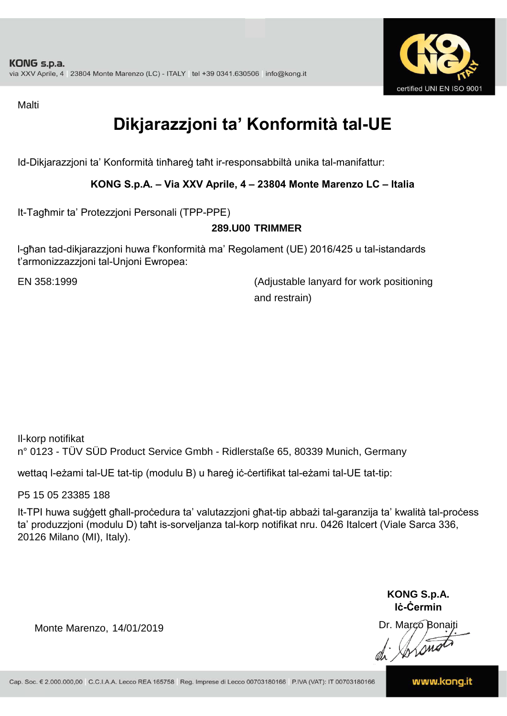

Malti

# **Dikjarazzjoni ta' Konformità tal-UE**

Id-Dikjarazzjoni ta' Konformità tinħareġ taħt ir-responsabbiltà unika tal-manifattur:

#### **KONG S.p.A. – Via XXV Aprile, 4 – 23804 Monte Marenzo LC – Italia**

It-Tagħmir ta' Protezzjoni Personali (TPP-PPE)

#### **289.U00 TRIMMER**

l-għan tad-dikjarazzjoni huwa f'konformità ma' Regolament (UE) 2016/425 u tal-istandards t'armonizzazzjoni tal-Unjoni Ewropea:

EN 358:1999 (Adjustable lanyard for work positioning and restrain)

Il-korp notifikat n° 0123 - TÜV SÜD Product Service Gmbh - Ridlerstaße 65, 80339 Munich, Germany

wettaq l-eżami tal-UE tat-tip (modulu B) u ħareġ iċ-ċertifikat tal-eżami tal-UE tat-tip:

P5 15 05 23385 188

It-TPI huwa suġġett għall-proċedura ta' valutazzjoni għat-tip abbażi tal-garanzija ta' kwalità tal-proċess ta' produzzjoni (modulu D) taħt is-sorveljanza tal-korp notifikat nru. 0426 Italcert (Viale Sarca 336, 20126 Milano (MI), Italy).

> **KONG S.p.A. Iċ-Ċermin**

Dr. Marco Bonaiti di Jordinat

Monte Marenzo, 14/01/2019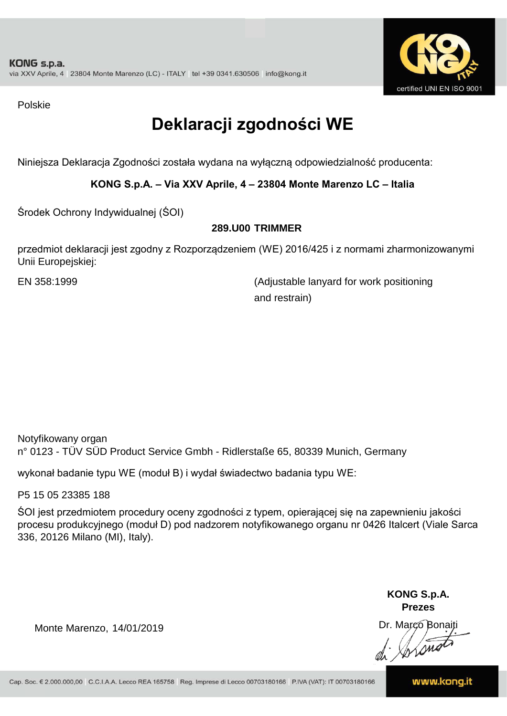

Polskie

# **Deklaracji zgodności WE**

Niniejsza Deklaracja Zgodności została wydana na wyłączną odpowiedzialność producenta:

**KONG S.p.A. – Via XXV Aprile, 4 – 23804 Monte Marenzo LC – Italia**

Środek Ochrony Indywidualnej (ŚOI)

#### **289.U00 TRIMMER**

przedmiot deklaracji jest zgodny z Rozporządzeniem (WE) 2016/425 i z normami zharmonizowanymi Unii Europejskiej:

and restrain) EN 358:1999 (Adjustable lanyard for work positioning

Notyfikowany organ n° 0123 - TÜV SÜD Product Service Gmbh - Ridlerstaße 65, 80339 Munich, Germany

wykonał badanie typu WE (moduł B) i wydał świadectwo badania typu WE:

P5 15 05 23385 188

ŚOI jest przedmiotem procedury oceny zgodności z typem, opierającej się na zapewnieniu jakości procesu produkcyjnego (moduł D) pod nadzorem notyfikowanego organu nr 0426 Italcert (Viale Sarca 336, 20126 Milano (MI), Italy).

> **KONG S.p.A. Prezes**

Dr. Marco Bonaiti di Arono

Monte Marenzo, 14/01/2019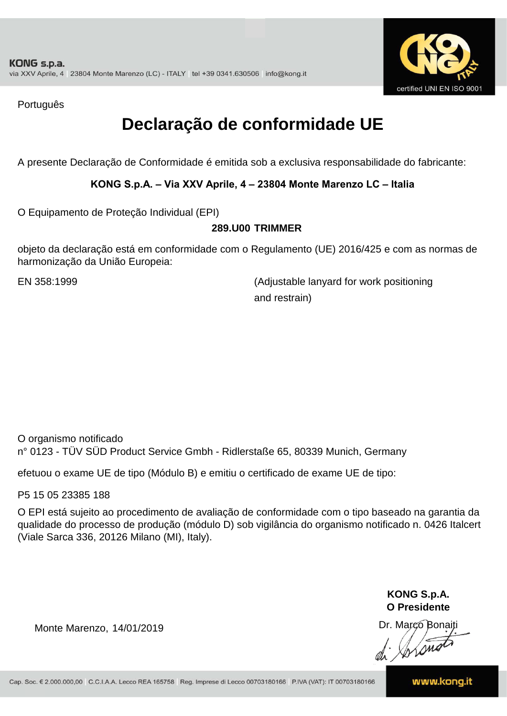

Português

# **Declaração de conformidade UE**

A presente Declaração de Conformidade é emitida sob a exclusiva responsabilidade do fabricante:

#### **KONG S.p.A. – Via XXV Aprile, 4 – 23804 Monte Marenzo LC – Italia**

O Equipamento de Proteção Individual (EPI)

#### **289.U00 TRIMMER**

objeto da declaração está em conformidade com o Regulamento (UE) 2016/425 e com as normas de harmonização da União Europeia:

EN 358:1999 (Adjustable lanyard for work positioning and restrain)

O organismo notificado n° 0123 - TÜV SÜD Product Service Gmbh - Ridlerstaße 65, 80339 Munich, Germany

efetuou o exame UE de tipo (Módulo B) e emitiu o certificado de exame UE de tipo:

P5 15 05 23385 188

O EPI está sujeito ao procedimento de avaliação de conformidade com o tipo baseado na garantia da qualidade do processo de produção (módulo D) sob vigilância do organismo notificado n. 0426 Italcert (Viale Sarca 336, 20126 Milano (MI), Italy).

> **KONG S.p.A. O Presidente**

Dr. Marco Bonaiti di Aromor

Monte Marenzo, 14/01/2019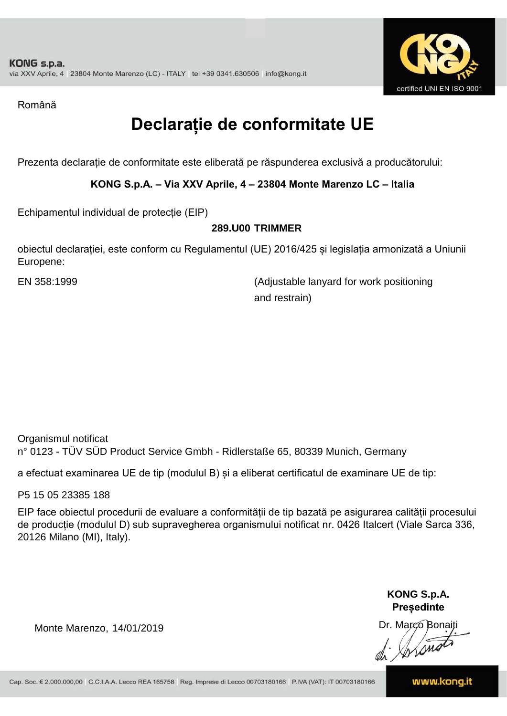

Română

# **Declarație de conformitate UE**

Prezenta declarație de conformitate este eliberată pe răspunderea exclusivă a producătorului:

#### **KONG S.p.A. – Via XXV Aprile, 4 – 23804 Monte Marenzo LC – Italia**

Echipamentul individual de protecție (EIP)

#### **289.U00 TRIMMER**

obiectul declarației, este conform cu Regulamentul (UE) 2016/425 și legislația armonizată a Uniunii Europene:

and restrain) EN 358:1999 (Adjustable lanyard for work positioning

Organismul notificat n° 0123 - TÜV SÜD Product Service Gmbh - Ridlerstaße 65, 80339 Munich, Germany

a efectuat examinarea UE de tip (modulul B) și a eliberat certificatul de examinare UE de tip:

P5 15 05 23385 188

EIP face obiectul procedurii de evaluare a conformității de tip bazată pe asigurarea calității procesului de producție (modulul D) sub supravegherea organismului notificat nr. 0426 Italcert (Viale Sarca 336, 20126 Milano (MI), Italy).

> **KONG S.p.A. Președinte**

Dr. Marco Bonaiti di Stono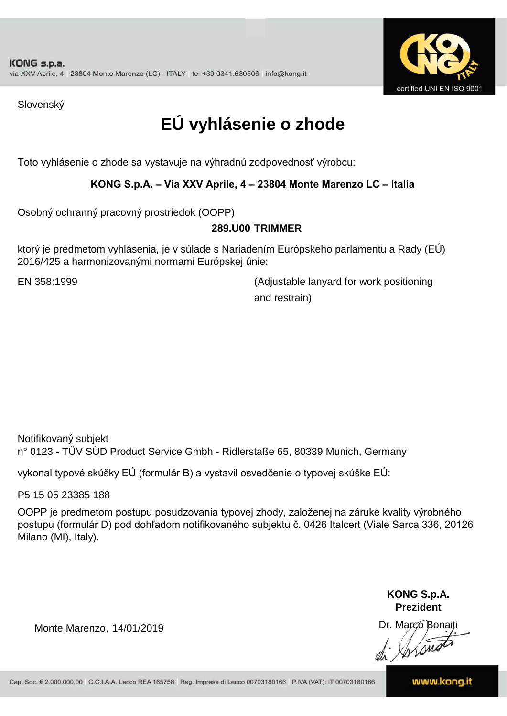

Slovenský

# **EÚ vyhlásenie o zhode**

Toto vyhlásenie o zhode sa vystavuje na výhradnú zodpovednosť výrobcu:

#### **KONG S.p.A. – Via XXV Aprile, 4 – 23804 Monte Marenzo LC – Italia**

Osobný ochranný pracovný prostriedok (OOPP)

#### **289.U00 TRIMMER**

ktorý je predmetom vyhlásenia, je v súlade s Nariadením Európskeho parlamentu a Rady (EÚ) 2016/425 a harmonizovanými normami Európskej únie:

EN 358:1999 (Adjustable lanyard for work positioning and restrain)

Notifikovaný subjekt n° 0123 - TÜV SÜD Product Service Gmbh - Ridlerstaße 65, 80339 Munich, Germany

vykonal typové skúšky EÚ (formulár B) a vystavil osvedčenie o typovej skúške EÚ:

P5 15 05 23385 188

OOPP je predmetom postupu posudzovania typovej zhody, založenej na záruke kvality výrobného postupu (formulár D) pod dohľadom notifikovaného subjektu č. 0426 Italcert (Viale Sarca 336, 20126 Milano (MI), Italy).

> **KONG S.p.A. Prezident**

Dr. Marco Bonaiti di Aromor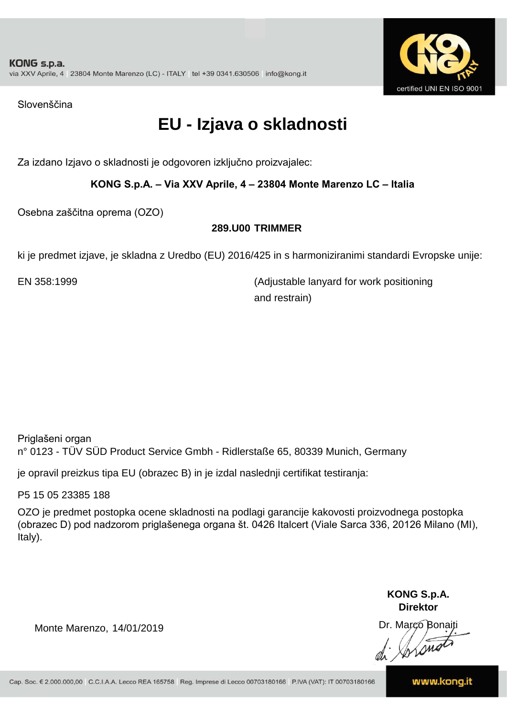

Slovenščina

# **EU - Izjava o skladnosti**

Za izdano Izjavo o skladnosti je odgovoren izključno proizvajalec:

#### **KONG S.p.A. – Via XXV Aprile, 4 – 23804 Monte Marenzo LC – Italia**

Osebna zaščitna oprema (OZO)

#### **289.U00 TRIMMER**

ki je predmet izjave, je skladna z Uredbo (EU) 2016/425 in s harmoniziranimi standardi Evropske unije:

and restrain) EN 358:1999 (Adjustable lanyard for work positioning

Priglašeni organ n° 0123 - TÜV SÜD Product Service Gmbh - Ridlerstaße 65, 80339 Munich, Germany

je opravil preizkus tipa EU (obrazec B) in je izdal naslednji certifikat testiranja:

P5 15 05 23385 188

OZO je predmet postopka ocene skladnosti na podlagi garancije kakovosti proizvodnega postopka (obrazec D) pod nadzorom priglašenega organa št. 0426 Italcert (Viale Sarca 336, 20126 Milano (MI), Italy).

> **KONG S.p.A. Direktor**

Dr. Marco Bonaiti di Aromor

Monte Marenzo, 14/01/2019